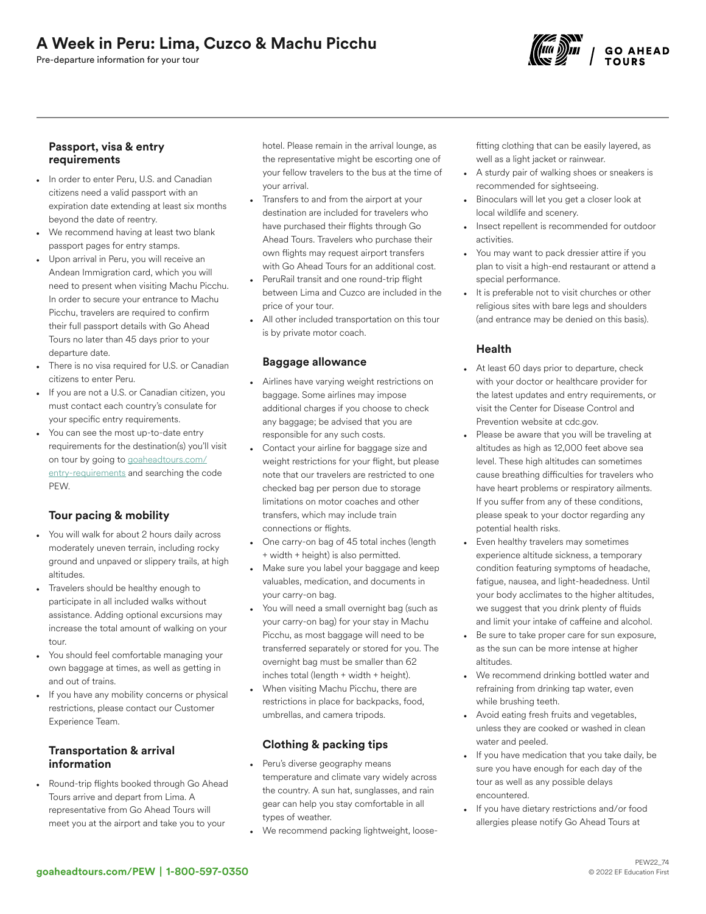# A Week in Peru: Lima, Cuzco & Machu Picchu

Pre-departure information for your tour



### Passport, visa & entry requirements

- In order to enter Peru, U.S. and Canadian citizens need a valid passport with an expiration date extending at least six months beyond the date of reentry.
- We recommend having at least two blank passport pages for entry stamps.
- Upon arrival in Peru, you will receive an Andean Immigration card, which you will need to present when visiting Machu Picchu. In order to secure your entrance to Machu Picchu, travelers are required to confirm their full passport details with Go Ahead Tours no later than 45 days prior to your departure date.
- There is no visa required for U.S. or Canadian citizens to enter Peru.
- If you are not a U.S. or Canadian citizen, you must contact each country's consulate for your specific entry requirements.
- You can see the most up-to-date entry requirements for the destination(s) you'll visit on tour by going to [goaheadtours.com/](/entry-requirements?tourCode=PEW) [entry-requirements](/entry-requirements?tourCode=PEW) and searching the code **PFW.**

# Tour pacing & mobility

- You will walk for about 2 hours daily across moderately uneven terrain, including rocky ground and unpaved or slippery trails, at high altitudes.
- Travelers should be healthy enough to participate in all included walks without assistance. Adding optional excursions may increase the total amount of walking on your tour.
- You should feel comfortable managing your own baggage at times, as well as getting in and out of trains.
- If you have any mobility concerns or physical restrictions, please contact our Customer Experience Team.

## Transportation & arrival information

• Round-trip flights booked through Go Ahead Tours arrive and depart from Lima. A representative from Go Ahead Tours will meet you at the airport and take you to your

hotel. Please remain in the arrival lounge, as the representative might be escorting one of your fellow travelers to the bus at the time of your arrival.

- Transfers to and from the airport at your destination are included for travelers who have purchased their flights through Go Ahead Tours. Travelers who purchase their own flights may request airport transfers with Go Ahead Tours for an additional cost.
- PeruRail transit and one round-trip flight between Lima and Cuzco are included in the price of your tour.
- All other included transportation on this tour is by private motor coach.

### Baggage allowance

- Airlines have varying weight restrictions on baggage. Some airlines may impose additional charges if you choose to check any baggage; be advised that you are responsible for any such costs.
- Contact your airline for baggage size and weight restrictions for your flight, but please note that our travelers are restricted to one checked bag per person due to storage limitations on motor coaches and other transfers, which may include train connections or flights.
- One carry-on bag of 45 total inches (length + width + height) is also permitted.
- Make sure you label your baggage and keep valuables, medication, and documents in your carry-on bag.
- You will need a small overnight bag (such as your carry-on bag) for your stay in Machu Picchu, as most baggage will need to be transferred separately or stored for you. The overnight bag must be smaller than 62 inches total (length + width + height).
- When visiting Machu Picchu, there are restrictions in place for backpacks, food, umbrellas, and camera tripods.

## Clothing & packing tips

- Peru's diverse geography means temperature and climate vary widely across the country. A sun hat, sunglasses, and rain gear can help you stay comfortable in all types of weather.
- We recommend packing lightweight, loose-

fitting clothing that can be easily layered, as well as a light jacket or rainwear.

- A sturdy pair of walking shoes or sneakers is recommended for sightseeing.
- Binoculars will let you get a closer look at local wildlife and scenery.
- Insect repellent is recommended for outdoor activities.
- You may want to pack dressier attire if you plan to visit a high-end restaurant or attend a special performance.
- It is preferable not to visit churches or other religious sites with bare legs and shoulders (and entrance may be denied on this basis).

## Health

- At least 60 days prior to departure, check with your doctor or healthcare provider for the latest updates and entry requirements, or visit the Center for Disease Control and Prevention website at cdc.gov.
- Please be aware that you will be traveling at altitudes as high as 12,000 feet above sea level. These high altitudes can sometimes cause breathing difficulties for travelers who have heart problems or respiratory ailments. If you suffer from any of these conditions, please speak to your doctor regarding any potential health risks.
- Even healthy travelers may sometimes experience altitude sickness, a temporary condition featuring symptoms of headache, fatigue, nausea, and light-headedness. Until your body acclimates to the higher altitudes, we suggest that you drink plenty of fluids and limit your intake of caffeine and alcohol.
- Be sure to take proper care for sun exposure, as the sun can be more intense at higher altitudes.
- We recommend drinking bottled water and refraining from drinking tap water, even while brushing teeth.
- Avoid eating fresh fruits and vegetables, unless they are cooked or washed in clean water and peeled.
- If you have medication that you take daily, be sure you have enough for each day of the tour as well as any possible delays encountered.
- If you have dietary restrictions and/or food allergies please notify Go Ahead Tours at